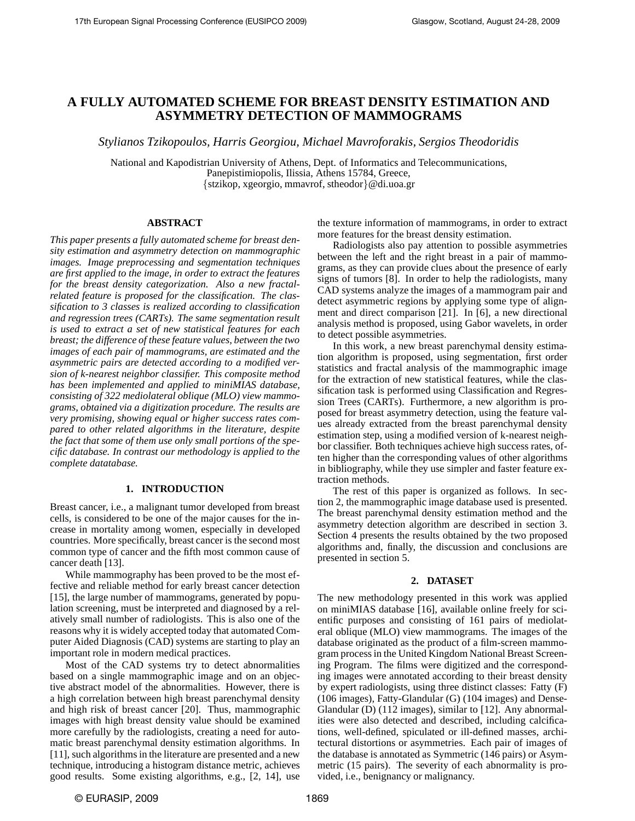# **A FULLY AUTOMATED SCHEME FOR BREAST DENSITY ESTIMATION AND ASYMMETRY DETECTION OF MAMMOGRAMS**

*Stylianos Tzikopoulos, Harris Georgiou, Michael Mavroforakis, Sergios Theodoridis*

National and Kapodistrian University of Athens, Dept. of Informatics and Telecommunications, Panepistimiopolis, Ilissia, Athens 15784, Greece, {stzikop, xgeorgio, mmavrof, stheodor}@di.uoa.gr

# **ABSTRACT**

*This paper presents a fully automated scheme for breast density estimation and asymmetry detection on mammographic images. Image preprocessing and segmentation techniques are first applied to the image, in order to extract the features for the breast density categorization. Also a new fractalrelated feature is proposed for the classification. The classification to 3 classes is realized according to classification and regression trees (CARTs). The same segmentation result is used to extract a set of new statistical features for each breast; the difference of these feature values, between the two images of each pair of mammograms, are estimated and the asymmetric pairs are detected according to a modified version of k-nearest neighbor classifier. This composite method has been implemented and applied to miniMIAS database, consisting of 322 mediolateral oblique (MLO) view mammograms, obtained via a digitization procedure. The results are very promising, showing equal or higher success rates compared to other related algorithms in the literature, despite the fact that some of them use only small portions of the specific database. In contrast our methodology is applied to the complete datatabase.*

## **1. INTRODUCTION**

Breast cancer, i.e., a malignant tumor developed from breast cells, is considered to be one of the major causes for the increase in mortality among women, especially in developed countries. More specifically, breast cancer is the second most common type of cancer and the fifth most common cause of cancer death [13].

While mammography has been proved to be the most effective and reliable method for early breast cancer detection [15], the large number of mammograms, generated by population screening, must be interpreted and diagnosed by a relatively small number of radiologists. This is also one of the reasons why it is widely accepted today that automated Computer Aided Diagnosis (CAD) systems are starting to play an important role in modern medical practices.

Most of the CAD systems try to detect abnormalities based on a single mammographic image and on an objective abstract model of the abnormalities. However, there is a high correlation between high breast parenchymal density and high risk of breast cancer [20]. Thus, mammographic images with high breast density value should be examined more carefully by the radiologists, creating a need for automatic breast parenchymal density estimation algorithms. In [11], such algorithms in the literature are presented and a new technique, introducing a histogram distance metric, achieves good results. Some existing algorithms, e.g., [2, 14], use

the texture information of mammograms, in order to extract more features for the breast density estimation.

Radiologists also pay attention to possible asymmetries between the left and the right breast in a pair of mammograms, as they can provide clues about the presence of early signs of tumors [8]. In order to help the radiologists, many CAD systems analyze the images of a mammogram pair and detect asymmetric regions by applying some type of alignment and direct comparison [21]. In [6], a new directional analysis method is proposed, using Gabor wavelets, in order to detect possible asymmetries.

In this work, a new breast parenchymal density estimation algorithm is proposed, using segmentation, first order statistics and fractal analysis of the mammographic image for the extraction of new statistical features, while the classification task is performed using Classification and Regression Trees (CARTs). Furthermore, a new algorithm is proposed for breast asymmetry detection, using the feature values already extracted from the breast parenchymal density estimation step, using a modified version of k-nearest neighbor classifier. Both techniques achieve high success rates, often higher than the corresponding values of other algorithms in bibliography, while they use simpler and faster feature extraction methods.

The rest of this paper is organized as follows. In section 2, the mammographic image database used is presented. The breast parenchymal density estimation method and the asymmetry detection algorithm are described in section 3. Section 4 presents the results obtained by the two proposed algorithms and, finally, the discussion and conclusions are presented in section 5.

#### **2. DATASET**

The new methodology presented in this work was applied on miniMIAS database [16], available online freely for scientific purposes and consisting of 161 pairs of mediolateral oblique (MLO) view mammograms. The images of the database originated as the product of a film-screen mammogram process in the United Kingdom National Breast Screening Program. The films were digitized and the corresponding images were annotated according to their breast density by expert radiologists, using three distinct classes: Fatty (F) (106 images), Fatty-Glandular (G) (104 images) and Dense-Glandular (D) (112 images), similar to [12]. Any abnormalities were also detected and described, including calcifications, well-defined, spiculated or ill-defined masses, architectural distortions or asymmetries. Each pair of images of the database is annotated as Symmetric (146 pairs) or Asymmetric (15 pairs). The severity of each abnormality is provided, i.e., benignancy or malignancy.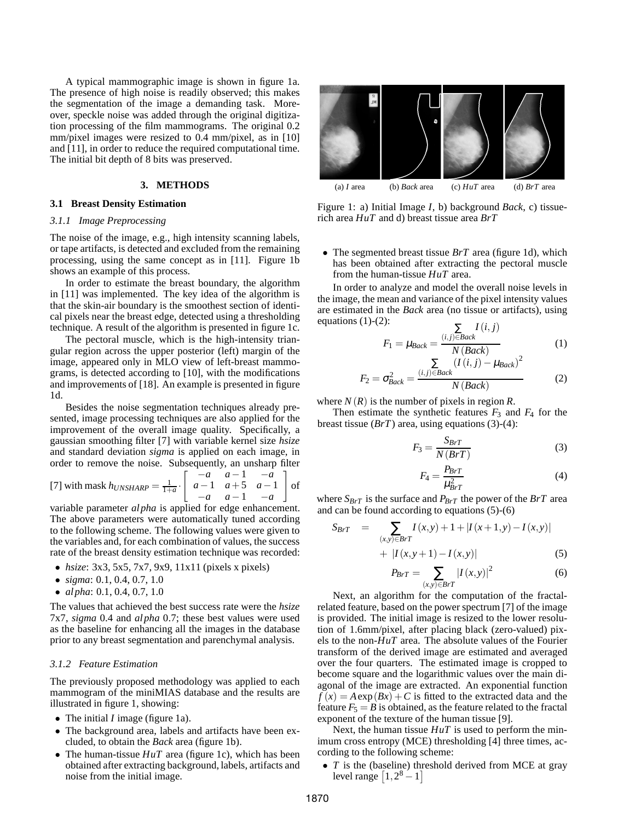A typical mammographic image is shown in figure 1a. The presence of high noise is readily observed; this makes the segmentation of the image a demanding task. Moreover, speckle noise was added through the original digitization processing of the film mammograms. The original 0.2 mm/pixel images were resized to 0.4 mm/pixel, as in [10] and [11], in order to reduce the required computational time. The initial bit depth of 8 bits was preserved.

#### **3. METHODS**

## **3.1 Breast Density Estimation**

## *3.1.1 Image Preprocessing*

The noise of the image, e.g., high intensity scanning labels, or tape artifacts, is detected and excluded from the remaining processing, using the same concept as in [11]. Figure 1b shows an example of this process.

In order to estimate the breast boundary, the algorithm in [11] was implemented. The key idea of the algorithm is that the skin-air boundary is the smoothest section of identical pixels near the breast edge, detected using a thresholding technique. A result of the algorithm is presented in figure 1c.

The pectoral muscle, which is the high-intensity triangular region across the upper posterior (left) margin of the image, appeared only in MLO view of left-breast mammograms, is detected according to [10], with the modifications and improvements of [18]. An example is presented in figure 1d.

Besides the noise segmentation techniques already presented, image processing techniques are also applied for the improvement of the overall image quality. Specifically, a gaussian smoothing filter [7] with variable kernel size *hsize* and standard deviation *sigma* is applied on each image, in order to remove the noise. Subsequently, an unsharp filter

[7] with mask  $h_{UNSHARP} = \frac{1}{1+a}$ .  $\begin{bmatrix} -a & a-1 & -a \end{bmatrix}$ *a*−1 *a*+5 *a*−1 −*a a*−1 −*a* 1 of

variable parameter *alpha* is applied for edge enhancement. The above parameters were automatically tuned according to the following scheme. The following values were given to the variables and, for each combination of values, the success rate of the breast density estimation technique was recorded:

- *hsize*: 3x3, 5x5, 7x7, 9x9, 11x11 (pixels x pixels)
- *sigma*: 0.1, 0.4, 0.7, 1.0
- *alpha*: 0.1, 0.4, 0.7, 1.0

The values that achieved the best success rate were the *hsize* 7x7, *sigma* 0.4 and *alpha* 0.7; these best values were used as the baseline for enhancing all the images in the database prior to any breast segmentation and parenchymal analysis.

## *3.1.2 Feature Estimation*

The previously proposed methodology was applied to each mammogram of the miniMIAS database and the results are illustrated in figure 1, showing:

- The initial *I* image (figure 1a).
- The background area, labels and artifacts have been excluded, to obtain the *Back* area (figure 1b).
- The human-tissue  $HuT$  area (figure 1c), which has been obtained after extracting background, labels, artifacts and noise from the initial image.



Figure 1: a) Initial Image *I*, b) background *Back*, c) tissuerich area *HuT* and d) breast tissue area *BrT*

• The segmented breast tissue *BrT* area (figure 1d), which has been obtained after extracting the pectoral muscle from the human-tissue *HuT* area.

In order to analyze and model the overall noise levels in the image, the mean and variance of the pixel intensity values are estimated in the *Back* area (no tissue or artifacts), using equations  $(1)-(2)$ :

$$
F_1 = \mu_{Back} = \frac{\sum\limits_{(i,j)\in Back} I(i,j)}{N(Back)} \tag{1}
$$

$$
\sum\limits_{(I(i,j) - \mu_{Back})^2} (I(i,j) - \mu_{Back})^2
$$

$$
F_2 = \sigma_{Back}^2 = \frac{(i,j)\in Back}{N(Back)}\tag{2}
$$

where  $N(R)$  is the number of pixels in region R.

Then estimate the synthetic features  $F_3$  and  $F_4$  for the breast tissue (*BrT*) area, using equations (3)-(4):

$$
F_3 = \frac{S_{BrT}}{N(BrT)}\tag{3}
$$

$$
F_4 = \frac{P_{BrT}}{\mu_{BrT}^2} \tag{4}
$$

where  $S_{BrT}$  is the surface and  $P_{BrT}$  the power of the  $BrT$  area and can be found according to equations (5)-(6)

$$
S_{BrT} = \sum_{(x,y)\in BrT} I(x,y) + 1 + |I(x+1,y) - I(x,y)|
$$
  
+ |I(x,y+1) - I(x,y)| (5)

$$
P_{BrT} = \sum_{(x,y)\in BrT} |I(x,y)|^2
$$
 (6)

Next, an algorithm for the computation of the fractalrelated feature, based on the power spectrum [7] of the image is provided. The initial image is resized to the lower resolution of 1.6mm/pixel, after placing black (zero-valued) pixels to the non-*HuT* area. The absolute values of the Fourier transform of the derived image are estimated and averaged over the four quarters. The estimated image is cropped to become square and the logarithmic values over the main diagonal of the image are extracted. An exponential function  $f(x) = A \exp(Bx) + C$  is fitted to the extracted data and the feature  $F_5 = B$  is obtained, as the feature related to the fractal exponent of the texture of the human tissue [9].

Next, the human tissue *HuT* is used to perform the minimum cross entropy (MCE) thresholding [4] three times, according to the following scheme:

• *T* is the (baseline) threshold derived from MCE at gray level range  $\left[1, 2^8 - 1\right]$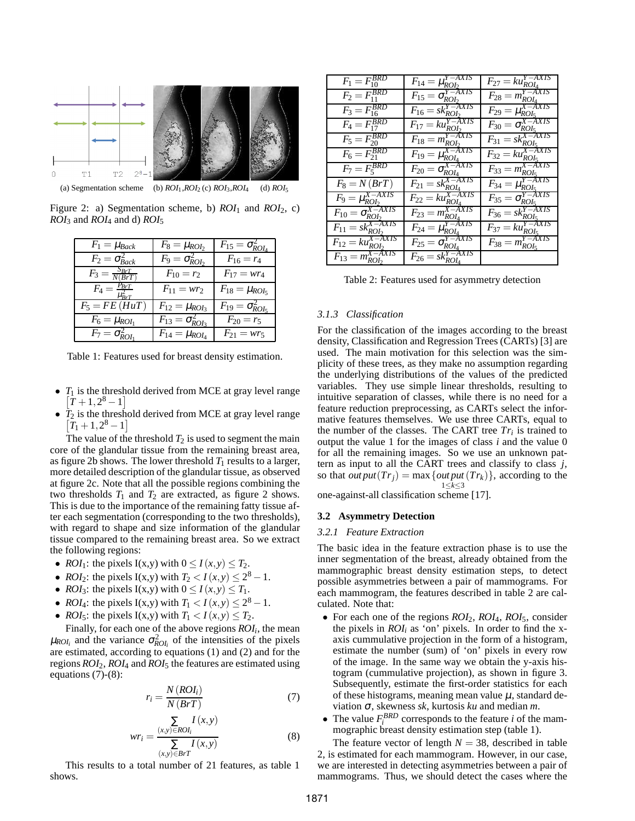

(a) Segmentation scheme (b)  $ROI_1, ROI_2$  (c)  $ROI_3, ROI_4$  (d)  $ROI_5$ 

Figure 2: a) Segmentation scheme, b) *ROI*<sup>1</sup> and *ROI*2, c) *ROI*<sup>3</sup> and *ROI*<sup>4</sup> and d) *ROI*<sup>5</sup>

| $F_1 = \mu_{Back}$                 | $F_8 = \mu_{ROI_2}$                    | $F_{15} = \sigma_{ROI_4}^2$            |
|------------------------------------|----------------------------------------|----------------------------------------|
| $\overline{F_2} = \sigma_{Back}^2$ | $\overline{F_9} = \sigma_{ROL_2}^2$    | $F_{16}=r_4$                           |
| $F_3 = \frac{S_{BrT}}{N(BrT)}$     | $F_{10}=r_2$                           | $F_{17} = wr_4$                        |
| $F_4=\frac{P_{BrT}}{\mu_{BrT}^2}$  | $F_{11} = wr_2$                        | $F_{18} = \mu_{ROI_5}$                 |
| $\overline{F_5 = FE(HuT)}$         | $\overline{F_{12}} = \mu_{ROI_3}$      | $\overline{F_{19}} = \sigma_{ROL_5}^2$ |
| $\overline{F_6} = \mu_{ROI_1}$     | $\overline{F_{13}} = \sigma_{ROL_3}^2$ | $F_{20}=r_5$                           |
| $F_7 = \sigma_{ROI_1}^2$           | $F_{14} = \mu_{ROI_4}$                 | $F_{21} = wr_5$                        |

Table 1: Features used for breast density estimation.

- $T_1$  is the threshold derived from MCE at gray level range  $[T+1,2^8-1]$
- *T*<sup>2</sup> is the threshold derived from MCE at gray level range  $[T_1 + 1, 2^8 - 1]$

The value of the threshold  $T_2$  is used to segment the main core of the glandular tissue from the remaining breast area, as figure 2b shows. The lower threshold  $T_1$  results to a larger, more detailed description of the glandular tissue, as observed at figure 2c. Note that all the possible regions combining the two thresholds  $T_1$  and  $T_2$  are extracted, as figure 2 shows. This is due to the importance of the remaining fatty tissue after each segmentation (corresponding to the two thresholds), with regard to shape and size information of the glandular tissue compared to the remaining breast area. So we extract the following regions:

- *ROI*<sub>1</sub>: the pixels I(x,y) with  $0 \le I(x, y) \le T_2$ .
- *ROI*<sub>2</sub>: the pixels I(x,y) with  $T_2 < I(x,y) \le 2^8 1$ .
- *ROI*<sub>3</sub>: the pixels  $I(x,y)$  with  $0 \leq I(x,y) \leq T_1$ .
- *ROI*<sub>4</sub>: the pixels I(x,y) with  $T_1 < I(x,y) \le 2^8 1$ .
- *ROI*<sub>5</sub>: the pixels I(x,y) with  $T_1 < I(x,y) \leq T_2$ .

Finally, for each one of the above regions *ROI<sup>i</sup>* , the mean  $\mu_{ROI_i}$  and the variance  $\sigma_{ROI_i}^2$  of the intensities of the pixels are estimated, according to equations (1) and (2) and for the regions *ROI*2, *ROI*<sup>4</sup> and *ROI*<sup>5</sup> the features are estimated using equations (7)-(8):

$$
r_i = \frac{N(ROI_i)}{N(BrT)}\tag{7}
$$

$$
wr_i = \frac{\sum\limits_{(x,y)\in ROI_i} I(x,y)}{\sum\limits_{(x,y)\in BrT} I(x,y)}
$$
(8)

This results to a total number of 21 features, as table 1 shows.

| $F_1 = F_{10}^{BRD}$                           | $F_{14} = \mu_{ROI_2}^{Y - AXIS}$         | $F_{27} = k u_{ROI_4}^{I^- A A}$         |
|------------------------------------------------|-------------------------------------------|------------------------------------------|
| $F_2 = F_{11}^{B\overline{R}\overline{D}}$     | $F_{15} = \sigma_{ROI_2}^{Y - AXIS}$      | $F_{28} = m_{ROI_4}^{Y-AXIS}$            |
| $F_3 = \overline{F_{16}^{BRD}}$                | $F_{16} = sk_{ROI}^{Y-\overline{AXIS}}$   | $F_{29} = \mu_{ROLs}^{X-\bar{A}XIS}$     |
| $F_4 = F_{17}^{BRD}$                           | $F_{17} = k u_{RO}^{Y - \overline{A}XIS}$ | $F_{30} = \sigma_{ROLs}^{X-AXIS}$        |
| $F_5 = F_{20}^{BRD}$                           | $F_{18} = m_{ROI_2}^{Y-AXIS}$             | $F_{31} = sk_{ROI_5}^{X-AXIS}$           |
| $F_6 = F_{21}^{BRD}$                           | $F_{19} = \mu_{ROI_4}^{X - \bar{A}XIS}$   | $F_{32} = k u_{ROI_5}^{X - \lambda XIS}$ |
| $F_7 = F_5^{BRD}$                              | $F_{20} = \sigma_{ROI_4}^{X-AXIS}$        | $F_{33} = m_{ROL_5}^{X-AXIS}$            |
| $F_8=N(BrT)$                                   | $F_{21}$ = $sk_{ROI_4}^{X-AXIS}$          | $F_{34} = \mu_{ROI_5}^{Y-AXIS}$          |
| $F_9 = \mu_{ROI_2}^{X-AXIS}$                   | $F_{22} = ku_{ROL_4}^{X-AXIS}$            | $F_{35} = \sigma_{ROLs}^{Y-AXIS}$        |
| $F_{10} = \sigma_{ROI_2}^{X-AXIS}$             | $F_{23} = m_{ROI_4}^{X - AXIS}$           | $F_{36} = sk_{ROI_5}^{Y-AXIS}$           |
| $F_{11} = sk_{ROI_2}^{X-AXIS}$                 | $F_{24} = \mu_{ROI_4}^{Y-AXIS}$           | $F_{37} = k u_{ROI_5}^{Y-AXIS}$          |
| $F_{12} = k u_{ROI_2}^{X - \overline{A}XIS}$   | Y–AXIS<br>$F_{25} = \sigma_{ROI_4}$       | Y–AXIS<br>$F_{38} = m_{ROI_5}^{\prime}$  |
| X-AXIS<br>$F_{13} = m_{ROI_2}^{\prime \prime}$ | $F_{26} = s k_{ROL_4}^{Y-AXIS}$           |                                          |

Table 2: Features used for asymmetry detection

# *3.1.3 Classification*

For the classification of the images according to the breast density, Classification and Regression Trees (CARTs) [3] are used. The main motivation for this selection was the simplicity of these trees, as they make no assumption regarding the underlying distributions of the values of the predicted variables. They use simple linear thresholds, resulting to intuitive separation of classes, while there is no need for a feature reduction preprocessing, as CARTs select the informative features themselves. We use three CARTs, equal to the number of the classes. The CART tree  $Tr_i$  is trained to output the value 1 for the images of class *i* and the value 0 for all the remaining images. So we use an unknown pattern as input to all the CART trees and classify to class *j*, so that *out put*( $Tr_j$ ) = max {*out put*( $Tr_k$ )}, according to the 1≤*k*≤3

one-against-all classification scheme [17].

#### **3.2 Asymmetry Detection**

#### *3.2.1 Feature Extraction*

The basic idea in the feature extraction phase is to use the inner segmentation of the breast, already obtained from the mammographic breast density estimation steps, to detect possible asymmetries between a pair of mammograms. For each mammogram, the features described in table 2 are calculated. Note that:

- For each one of the regions *ROI*2, *ROI*4, *ROI*5, consider the pixels in  $ROI<sub>i</sub>$  as 'on' pixels. In order to find the xaxis cummulative projection in the form of a histogram, estimate the number (sum) of 'on' pixels in every row of the image. In the same way we obtain the y-axis histogram (cummulative projection), as shown in figure 3. Subsequently, estimate the first-order statistics for each of these histograms, meaning mean value  $\mu$ , standard deviation <sup>σ</sup>, skewness *sk*, kurtosis *ku* and median *m*.
- The value  $F_i^{BRD}$  corresponds to the feature *i* of the mammographic breast density estimation step (table 1).

The feature vector of length  $N = 38$ , described in table 2, is estimated for each mammogram. However, in our case, we are interested in detecting asymmetries between a pair of mammograms. Thus, we should detect the cases where the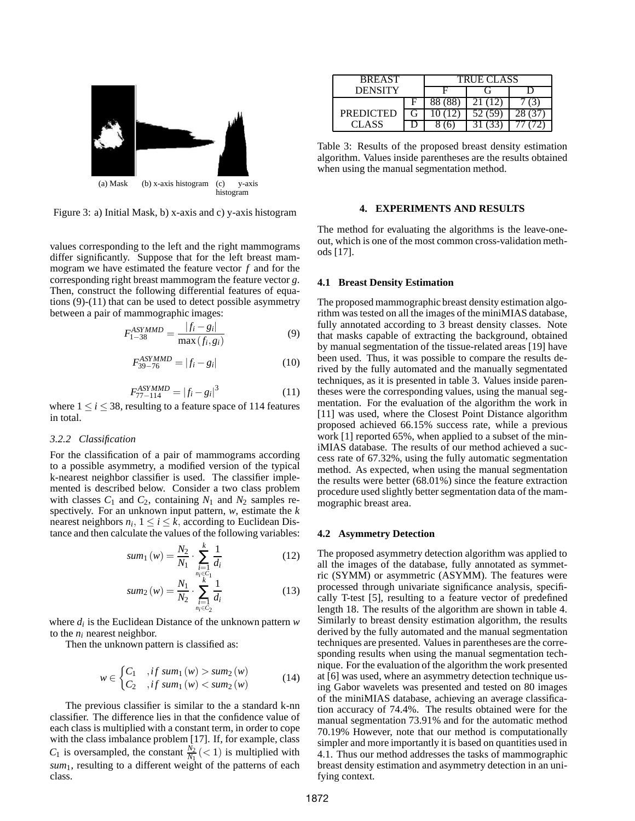

Figure 3: a) Initial Mask, b) x-axis and c) y-axis histogram

values corresponding to the left and the right mammograms differ significantly. Suppose that for the left breast mammogram we have estimated the feature vector *f* and for the corresponding right breast mammogram the feature vector *g*. Then, construct the following differential features of equations (9)-(11) that can be used to detect possible asymmetry between a pair of mammographic images:

$$
F_{1-38}^{ASYMMD} = \frac{|f_i - g_i|}{\max(f_i, g_i)}
$$
(9)

$$
F_{39-76}^{ASYMMD} = |f_i - g_i|
$$
 (10)

$$
F_{77-114}^{ASYMMD} = |f_i - g_i|^3
$$
 (11)

where  $1 \le i \le 38$ , resulting to a feature space of 114 features in total.

# *3.2.2 Classification*

For the classification of a pair of mammograms according to a possible asymmetry, a modified version of the typical k-nearest neighbor classifier is used. The classifier implemented is described below. Consider a two class problem with classes  $C_1$  and  $C_2$ , containing  $N_1$  and  $N_2$  samples respectively. For an unknown input pattern, *w*, estimate the *k* nearest neighbors  $n_i$ ,  $1 \le i \le k$ , according to Euclidean Distance and then calculate the values of the following variables:

sum<sub>1</sub> (w) = 
$$
\frac{N_2}{N_1} \cdot \sum_{i=1}^{k} \frac{1}{d_i}
$$
 (12)

sum<sub>2</sub> (w) = 
$$
\frac{N_1}{N_2} \cdot \sum_{\substack{i=1 \ n_i \in C_2}}^{\frac{n_i \in C_1}{k}} \frac{1}{d_i}
$$
 (13)

where *d<sup>i</sup>* is the Euclidean Distance of the unknown pattern *w* to the  $n_i$  nearest neighbor.

Then the unknown pattern is classified as:

$$
w \in \begin{cases} C_1, & if sum_1(w) > sum_2(w) \\ C_2, & if sum_1(w) < sum_2(w) \end{cases} \tag{14}
$$

The previous classifier is similar to the a standard k-nn classifier. The difference lies in that the confidence value of each class is multiplied with a constant term, in order to cope with the class imbalance problem [17]. If, for example, class  $C_1$  is oversampled, the constant  $\frac{N_2}{N_1}$  (< 1) is multiplied with *sum*<sub>1</sub>, resulting to a different weight of the patterns of each class.

| <b>BREAST</b>    |  | <b>TRUE CLASS</b> |  |  |
|------------------|--|-------------------|--|--|
| <b>DENSITY</b>   |  |                   |  |  |
|                  |  | 88 (88            |  |  |
| <b>PREDICTED</b> |  |                   |  |  |
| CLASS            |  |                   |  |  |

Table 3: Results of the proposed breast density estimation algorithm. Values inside parentheses are the results obtained when using the manual segmentation method.

# **4. EXPERIMENTS AND RESULTS**

The method for evaluating the algorithms is the leave-oneout, which is one of the most common cross-validation methods [17].

#### **4.1 Breast Density Estimation**

The proposed mammographic breast density estimation algorithm was tested on all the images of the miniMIAS database, fully annotated according to 3 breast density classes. Note that masks capable of extracting the background, obtained by manual segmentation of the tissue-related areas [19] have been used. Thus, it was possible to compare the results derived by the fully automated and the manually segmentated techniques, as it is presented in table 3. Values inside parentheses were the corresponding values, using the manual segmentation. For the evaluation of the algorithm the work in [11] was used, where the Closest Point Distance algorithm proposed achieved 66.15% success rate, while a previous work [1] reported 65%, when applied to a subset of the miniMIAS database. The results of our method achieved a success rate of 67.32%, using the fully automatic segmentation method. As expected, when using the manual segmentation the results were better (68.01%) since the feature extraction procedure used slightly better segmentation data of the mammographic breast area.

#### **4.2 Asymmetry Detection**

The proposed asymmetry detection algorithm was applied to all the images of the database, fully annotated as symmetric (SYMM) or asymmetric (ASYMM). The features were processed through univariate significance analysis, specifically T-test [5], resulting to a feature vector of predefined length 18. The results of the algorithm are shown in table 4. Similarly to breast density estimation algorithm, the results derived by the fully automated and the manual segmentation techniques are presented. Values in parentheses are the corresponding results when using the manual segmentation technique. For the evaluation of the algorithm the work presented at [6] was used, where an asymmetry detection technique using Gabor wavelets was presented and tested on 80 images of the miniMIAS database, achieving an average classification accuracy of 74.4%. The results obtained were for the manual segmentation 73.91% and for the automatic method 70.19% However, note that our method is computationally simpler and more importantly it is based on quantities used in 4.1. Thus our method addresses the tasks of mammographic breast density estimation and asymmetry detection in an unifying context.